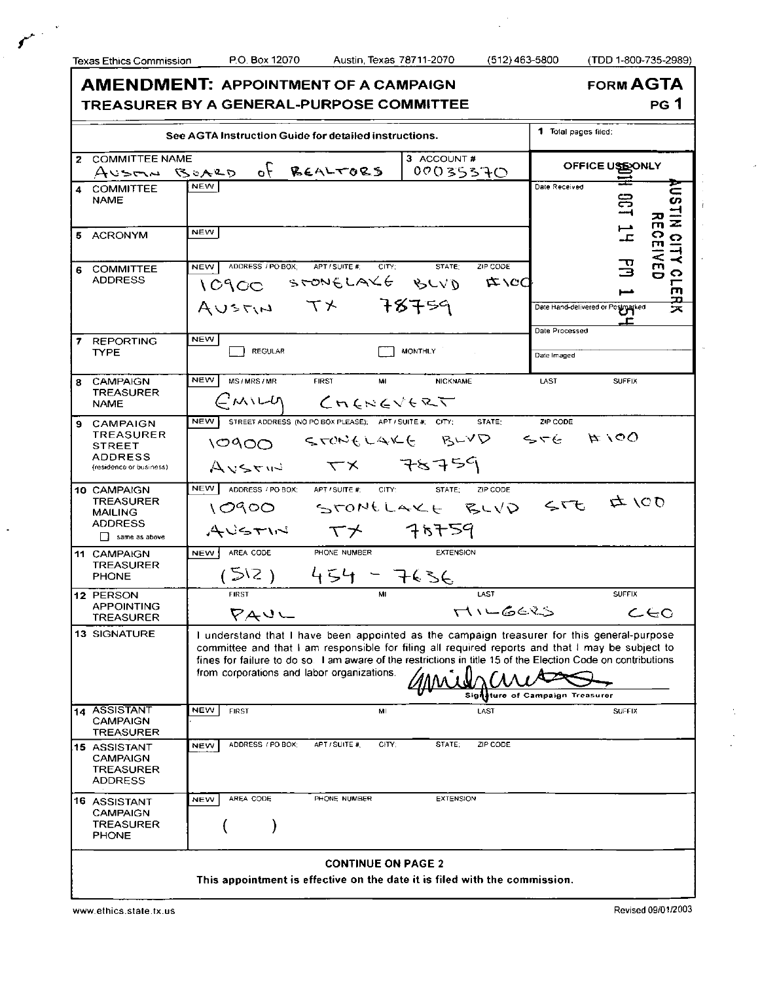$\mathcal{L}$ 

**AMENDMENT: APPOINTMENT OF A CAMPAIGN TREASURE R B Y A GENERAL-PURPOS E COMMITTEE**  **FORM AGTA** 

**PG 1** 

| See AGTA Instruction Guide for detailed instructions.                                                   | 1 Total pages filed:                                                                                                                                                                                                                                                                                                                                                                                                         |                                    |                                                                                                |  |  |  |
|---------------------------------------------------------------------------------------------------------|------------------------------------------------------------------------------------------------------------------------------------------------------------------------------------------------------------------------------------------------------------------------------------------------------------------------------------------------------------------------------------------------------------------------------|------------------------------------|------------------------------------------------------------------------------------------------|--|--|--|
| <b>COMMITTEE NAME</b><br>$\overline{2}$                                                                 |                                                                                                                                                                                                                                                                                                                                                                                                                              | 3 ACCOUNT#                         |                                                                                                |  |  |  |
|                                                                                                         | AUSTIN BOARD of<br>REALTORS                                                                                                                                                                                                                                                                                                                                                                                                  | 00035370                           | OFFICE USE ONLY                                                                                |  |  |  |
| <b>COMMITTEE</b><br>$\overline{\mathbf{4}}$<br><b>NAME</b>                                              | <b>NEW</b>                                                                                                                                                                                                                                                                                                                                                                                                                   |                                    | Date Received<br>$\Xi$                                                                         |  |  |  |
| 5 ACRONYM                                                                                               | <b>NEW</b>                                                                                                                                                                                                                                                                                                                                                                                                                   |                                    | $\frac{1}{1}$                                                                                  |  |  |  |
| <b>COMMITTEE</b><br>6<br><b>ADDRESS</b>                                                                 | ADDRESS / PO BOX:<br>APT / SUITE #:<br>CITY:<br><b>NEW</b><br>10900 STONELAKE BLVD<br>AUSTIN TX 78759                                                                                                                                                                                                                                                                                                                        | STATE:<br>ZIP CODE<br><b>は /CC</b> | INSTIN CITY CLERK<br>Received<br>끙<br>Date Hand-delivered or Posimarked<br>ᅩ<br>Date Processed |  |  |  |
| $\overline{7}$<br><b>REPORTING</b><br><b>TYPE</b>                                                       | <b>NEW</b><br><b>REGULAR</b>                                                                                                                                                                                                                                                                                                                                                                                                 | <b>MONTHLY</b>                     | Date Imaged                                                                                    |  |  |  |
| <b>CAMPAIGN</b><br>8<br><b>TREASURER</b><br><b>NAME</b>                                                 | <b>NEW</b><br>MS/MRS/MR<br><b>FIRST</b><br>MI<br>$CMIII$ $Cnevevevee$                                                                                                                                                                                                                                                                                                                                                        | <b>NICKNAME</b>                    | LAST<br><b>SUFFIX</b>                                                                          |  |  |  |
| 9.<br>CAMPAIGN<br><b>TREASURER</b><br><b>STREET</b><br><b>ADDRESS</b><br>(residence or business)        | NEW  <br>STREET ADDRESS (NO PO BOX PLEASE); APT / SUITE #: CITY;<br>STONELAKE BLVD<br>10900<br>$Avsr=78759$                                                                                                                                                                                                                                                                                                                  | STATE:                             | ZIP CODE<br>$\beta$ i d<br>$5 - 5$                                                             |  |  |  |
| 10 CAMPAIGN<br><b>TREASURER</b><br><b>MAILING</b><br><b>ADDRESS</b><br>$\Box$ same as above             | NEW<br>ADDRESS / PO BOX; APT / SUITE #;<br>CITY:<br>10900 STONELAKE BLVD STE<br>$A$ vstine $T\times$ 76759                                                                                                                                                                                                                                                                                                                   | STATE:<br>ZIP CODE                 | $\sigma$ /00                                                                                   |  |  |  |
| 11 CAMPAIGN<br><b>TREASURER</b><br><b>PHONE</b>                                                         | AREA CODE<br>PHONE NUMBER<br>NEW !<br>$(512)$ 454 - 7636                                                                                                                                                                                                                                                                                                                                                                     | <b>EXTENSION</b>                   |                                                                                                |  |  |  |
| 12 PERSON<br><b>APPOINTING</b><br><b>TREASURER</b>                                                      | <b>FIRST</b><br>マムロー                                                                                                                                                                                                                                                                                                                                                                                                         | LAST<br>$\Gamma$ ILGERS            | <b>SUFFIX</b><br>$c$ eo                                                                        |  |  |  |
| 13 SIGNATURE                                                                                            | I understand that I have been appointed as the campaign treasurer for this general-purpose<br>committee and that I am responsible for filing all required reports and that I may be subject to<br>fines for failure to do so. I am aware of the restrictions in title 15 of the Election Code on contributions<br>from corporations and labor organizations. $\pi$ $\Lambda$ , $\Lambda$ , $\Lambda$ , $\Lambda$ , $\Lambda$ | Sigi                               | ture of Campaign Treasurer                                                                     |  |  |  |
| 14 ASSISTANT<br>CAMPAIGN<br><b>TREASURER</b>                                                            | <b>NEW</b><br><b>FIRST</b><br>MI                                                                                                                                                                                                                                                                                                                                                                                             | LAST                               | <b>SUFFIX</b>                                                                                  |  |  |  |
| 15 ASSISTANT<br><b>CAMPAIGN</b><br><b>TREASURER</b><br><b>ADDRESS</b>                                   | ADDRESS / PO BOX;<br>CITY;<br>APT / SUITE #<br><b>NEW</b>                                                                                                                                                                                                                                                                                                                                                                    | STATE:<br>ZIP CODE                 |                                                                                                |  |  |  |
| <b>16 ASSISTANT</b><br>CAMPAIGN<br><b>TREASURER</b><br><b>PHONE</b>                                     | AREA CODE<br>PHONE NUMBER<br><b>NEW</b>                                                                                                                                                                                                                                                                                                                                                                                      | <b>EXTENSION</b>                   |                                                                                                |  |  |  |
| <b>CONTINUE ON PAGE 2</b><br>This appointment is effective on the date it is filed with the commission. |                                                                                                                                                                                                                                                                                                                                                                                                                              |                                    |                                                                                                |  |  |  |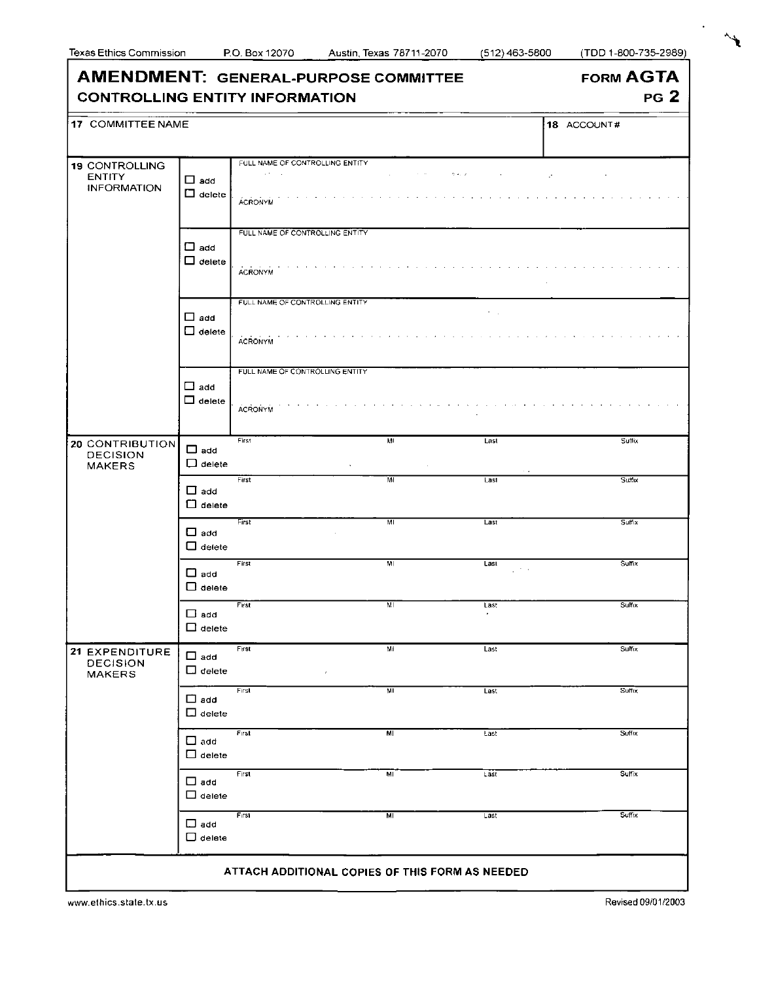$\overrightarrow{f}$ 

| <b>AMENDMENT: GENERAL-PURPOSE COMMITTEE</b><br><b>CONTROLLING ENTITY INFORMATION</b> |                                   |                                                                               |                |                                     | <b>FORM AGTA</b><br>PG <sub>2</sub> |
|--------------------------------------------------------------------------------------|-----------------------------------|-------------------------------------------------------------------------------|----------------|-------------------------------------|-------------------------------------|
| 17 COMMITTEE NAME                                                                    |                                   |                                                                               |                |                                     | 18 ACCOUNT#                         |
| 19 CONTROLLING<br><b>ENTITY</b><br><b>INFORMATION</b>                                | $\Box$ add<br>$\square$ delete    | FULL NAME OF CONTROLLING ENTITY.<br>$\alpha$ and $\alpha$ .<br><b>ACRONYM</b> |                | $\sigma_{\rm C}$ , $\sigma_{\rm C}$ | $\mathcal{L}^{\bullet}$             |
|                                                                                      | $\square$ add<br>$\Box$ detete    | FULL NAME OF CONTROLLING ENTITY<br><b>ACRONYM</b>                             |                | and a state of                      |                                     |
|                                                                                      | $\Box$ add<br>$\Box$ delete       | FULL NAME OF CONTROLLING ENTITY<br><b>ACRONYM</b>                             |                | $\tau = \tau_{\rm c}$               |                                     |
|                                                                                      | $\Box$ add<br>$\Box$ delete       | FULL NAME OF CONTROLLING ENTITY<br><b>ACRONYM</b>                             |                |                                     |                                     |
| 20 CONTRIBUTION<br><b>DECISION</b><br><b>MAKERS</b>                                  | $\Box$ add<br>$\Box$ delete       | First                                                                         | MI             | Last<br>$\sim$ $\sim$               | <b>Suffix</b>                       |
|                                                                                      | $\Box$ add<br>$\Box$ delete       | First                                                                         | мī             | Last                                | Suffix                              |
|                                                                                      | $\Box$ add<br>$\Box$ detete       | First                                                                         | ML             | Last                                | <b>Sulfix</b>                       |
|                                                                                      | $\square$ add<br>$\square$ delete | First                                                                         | $\overline{M}$ | Last<br>$\mathcal{L}^{(1)}$ and     | Sulfix                              |
|                                                                                      | $\Box$ add<br>$\sqcup$ delete     | First                                                                         | MI             | Last<br>$\bullet$                   | Sulfix                              |
| 21 EXPENDITURE<br><b>DECISION</b><br><b>MAKERS</b>                                   | $\Box$ add<br>$\Box$ delete       | First<br>$\epsilon$                                                           | MI             | Last                                | Sulfix                              |
|                                                                                      | $\Box$ add<br>$\Box$ delete       | First                                                                         | M              | Last                                | Suffix                              |
|                                                                                      | $\Box$ add<br>$\Box$ delete       | First                                                                         | M              | Last                                | Suffix                              |
|                                                                                      | $\Box$ add<br>$\Box$ delete       | First                                                                         | MI             | Last                                | Suffix                              |
|                                                                                      | $\square$ add<br>$\square$ delete | First                                                                         | MI             | Last                                | Suffix                              |
|                                                                                      |                                   | ATTACH ADDITIONAL COPIES OF THIS FORM AS NEEDED                               |                |                                     |                                     |